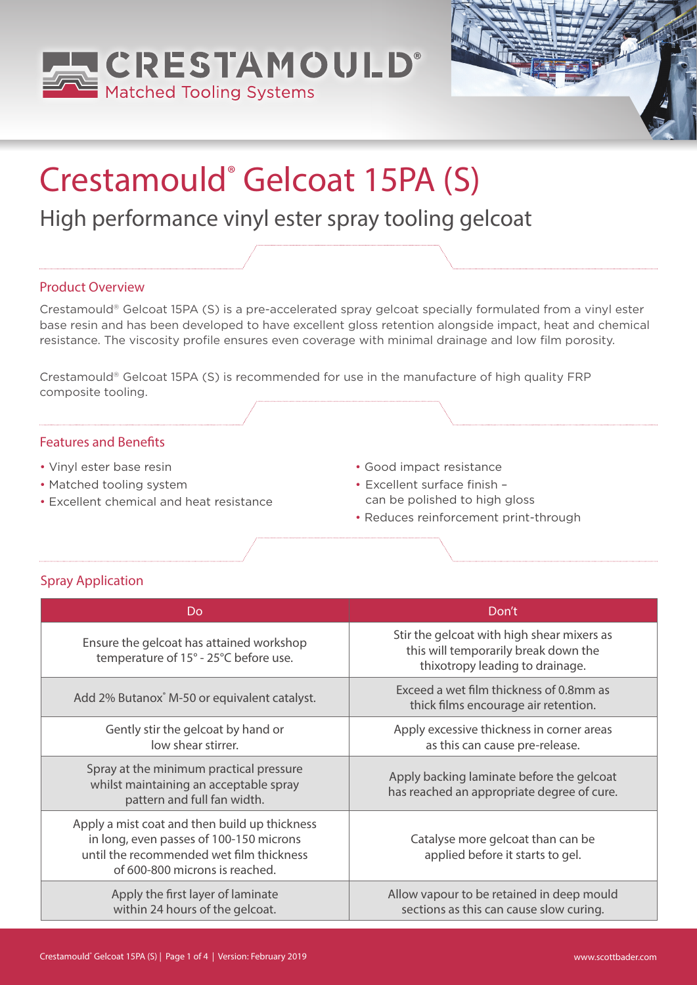



# Crestamould® Gelcoat 15PA (S)

# High performance vinyl ester spray tooling gelcoat

#### Product Overview

Crestamould® Gelcoat 15PA (S) is a pre-accelerated spray gelcoat specially formulated from a vinyl ester base resin and has been developed to have excellent gloss retention alongside impact, heat and chemical resistance. The viscosity profile ensures even coverage with minimal drainage and low film porosity.

Crestamould® Gelcoat 15PA (S) is recommended for use in the manufacture of high quality FRP composite tooling.

### Features and Benefits

- Vinyl ester base resin
- Matched tooling system
- Excellent chemical and heat resistance
- Good impact resistance
- Excellent surface finish can be polished to high gloss
- Reduces reinforcement print-through

# Spray Application

| Do                                                                                                                                                                     | Don't                                                                                                                 |
|------------------------------------------------------------------------------------------------------------------------------------------------------------------------|-----------------------------------------------------------------------------------------------------------------------|
| Ensure the gelcoat has attained workshop<br>temperature of 15° - 25°C before use.                                                                                      | Stir the gelcoat with high shear mixers as<br>this will temporarily break down the<br>thixotropy leading to drainage. |
| Add 2% Butanox M-50 or equivalent catalyst.                                                                                                                            | Exceed a wet film thickness of 0.8mm as<br>thick films encourage air retention.                                       |
| Gently stir the gelcoat by hand or<br>low shear stirrer.                                                                                                               | Apply excessive thickness in corner areas<br>as this can cause pre-release.                                           |
| Spray at the minimum practical pressure<br>whilst maintaining an acceptable spray<br>pattern and full fan width.                                                       | Apply backing laminate before the gelcoat<br>has reached an appropriate degree of cure.                               |
| Apply a mist coat and then build up thickness<br>in long, even passes of 100-150 microns<br>until the recommended wet film thickness<br>of 600-800 microns is reached. | Catalyse more gelcoat than can be<br>applied before it starts to gel.                                                 |
| Apply the first layer of laminate<br>within 24 hours of the gelcoat.                                                                                                   | Allow vapour to be retained in deep mould<br>sections as this can cause slow curing.                                  |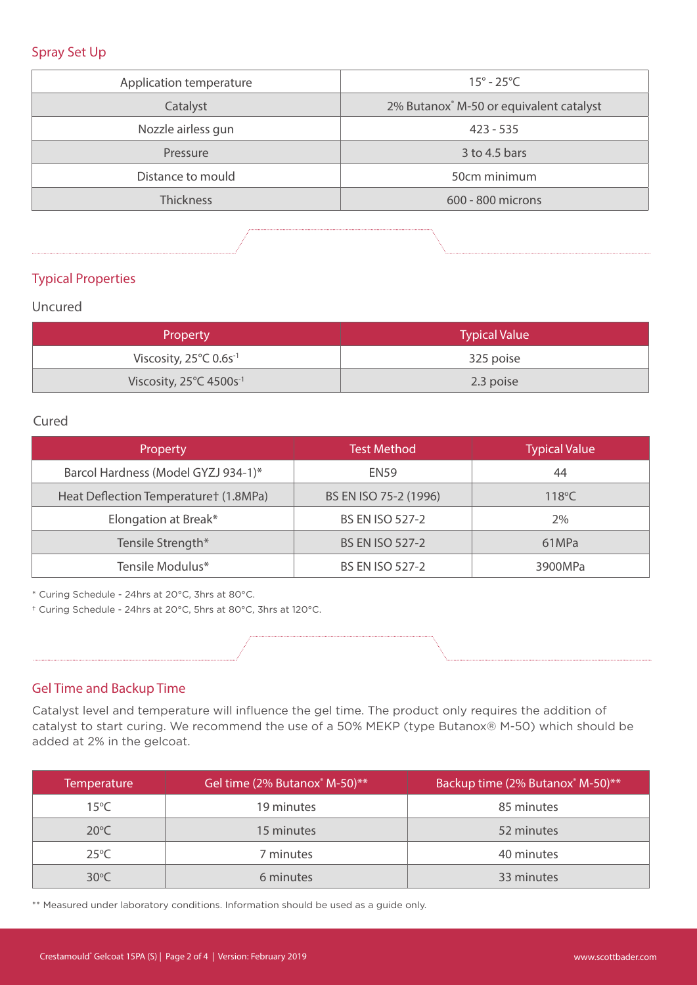#### Spray Set Up

| Application temperature | $15^{\circ}$ - 25 $^{\circ}$ C          |  |
|-------------------------|-----------------------------------------|--|
| Catalyst                | 2% Butanox® M-50 or equivalent catalyst |  |
| Nozzle airless gun      | $423 - 535$                             |  |
| Pressure                | $3$ to 4.5 bars                         |  |
| Distance to mould       | 50cm minimum                            |  |
| <b>Thickness</b>        | 600 - 800 microns                       |  |

# Typical Properties

### Uncured

| <b>Property</b>                               | <b>Typical Value</b> |
|-----------------------------------------------|----------------------|
| Viscosity, $25^{\circ}$ C 0.6s <sup>-1</sup>  | 325 poise            |
| Viscosity, $25^{\circ}$ C 4500s <sup>-1</sup> | 2.3 poise            |

#### Cured

| Property                              | <b>Test Method</b>     | <b>Typical Value</b> |
|---------------------------------------|------------------------|----------------------|
| Barcol Hardness (Model GYZJ 934-1)*   | <b>EN59</b>            | 44                   |
| Heat Deflection Temperaturet (1.8MPa) | BS EN ISO 75-2 (1996)  | $118^{\circ}$ C      |
| Elongation at Break*                  | <b>BS EN ISO 527-2</b> | 2%                   |
| Tensile Strength*                     | <b>BS EN ISO 527-2</b> | 61MPa                |
| Tensile Modulus*                      | <b>BS EN ISO 527-2</b> | 3900MPa              |

\* Curing Schedule - 24hrs at 20°C, 3hrs at 80°C.

† Curing Schedule - 24hrs at 20°C, 5hrs at 80°C, 3hrs at 120°C.

### Gel Time and Backup Time

Catalyst level and temperature will influence the gel time. The product only requires the addition of catalyst to start curing. We recommend the use of a 50% MEKP (type Butanox® M-50) which should be added at 2% in the gelcoat.

| <b>Temperature</b> | Gel time (2% Butanox M-50)** | Backup time (2% Butanox M-50)** |
|--------------------|------------------------------|---------------------------------|
| $15^{\circ}$ C     | 19 minutes                   | 85 minutes                      |
| $20^{\circ}$ C     | 15 minutes                   | 52 minutes                      |
| $25^{\circ}$ C     | 7 minutes                    | 40 minutes                      |
| $30^{\circ}$ C     | 6 minutes                    | 33 minutes                      |

\*\* Measured under laboratory conditions. Information should be used as a guide only.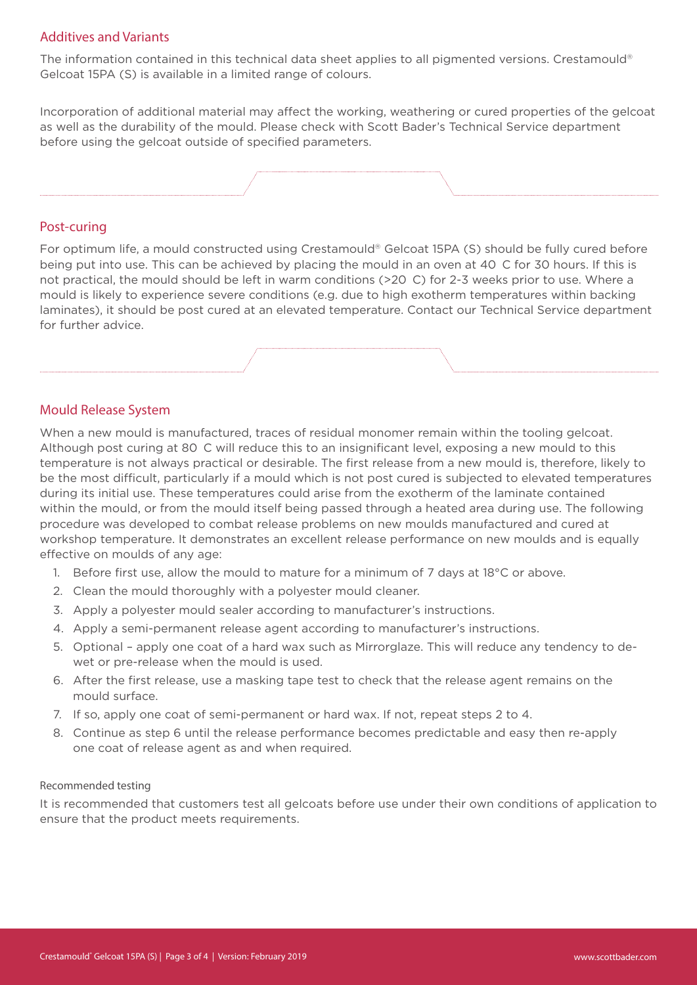#### Additives and Variants

The information contained in this technical data sheet applies to all pigmented versions. Crestamould® Gelcoat 15PA (S) is available in a limited range of colours.

Incorporation of additional material may affect the working, weathering or cured properties of the gelcoat as well as the durability of the mould. Please check with Scott Bader's Technical Service department before using the gelcoat outside of specified parameters.



#### Post-curing

For optimum life, a mould constructed using Crestamould® Gelcoat 15PA (S) should be fully cured before being put into use. This can be achieved by placing the mould in an oven at 40 C for 30 hours. If this is not practical, the mould should be left in warm conditions (>20 C) for 2-3 weeks prior to use. Where a mould is likely to experience severe conditions (e.g. due to high exotherm temperatures within backing laminates), it should be post cured at an elevated temperature. Contact our Technical Service department for further advice.

#### Mould Release System

When a new mould is manufactured, traces of residual monomer remain within the tooling gelcoat. Although post curing at 80 C will reduce this to an insignificant level, exposing a new mould to this temperature is not always practical or desirable. The first release from a new mould is, therefore, likely to be the most difficult, particularly if a mould which is not post cured is subjected to elevated temperatures during its initial use. These temperatures could arise from the exotherm of the laminate contained within the mould, or from the mould itself being passed through a heated area during use. The following procedure was developed to combat release problems on new moulds manufactured and cured at workshop temperature. It demonstrates an excellent release performance on new moulds and is equally effective on moulds of any age:

- 1. Before first use, allow the mould to mature for a minimum of 7 days at  $18^{\circ}$ C or above.
- 2. Clean the mould thoroughly with a polyester mould cleaner.
- 3. Apply a polyester mould sealer according to manufacturer's instructions.
- 4. Apply a semi-permanent release agent according to manufacturer's instructions.
- 5. Optional apply one coat of a hard wax such as Mirrorglaze. This will reduce any tendency to dewet or pre-release when the mould is used.
- 6. After the first release, use a masking tape test to check that the release agent remains on the mould surface.
- 7. If so, apply one coat of semi-permanent or hard wax. If not, repeat steps 2 to 4.
- 8. Continue as step 6 until the release performance becomes predictable and easy then re-apply one coat of release agent as and when required.

#### Recommended testing

It is recommended that customers test all gelcoats before use under their own conditions of application to ensure that the product meets requirements.